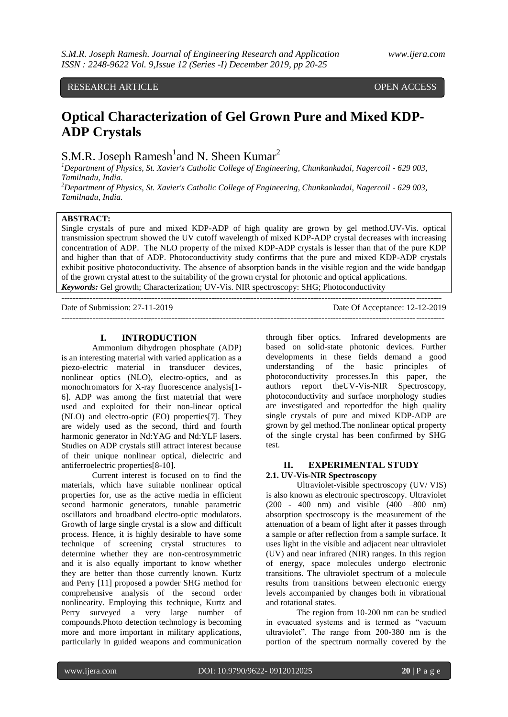RESEARCH ARTICLE **CONSERVERS** OPEN ACCESS

# **Optical Characterization of Gel Grown Pure and Mixed KDP-ADP Crystals**

# S.M.R. Joseph Ramesh<sup>1</sup>and N. Sheen Kumar<sup>2</sup>

*<sup>1</sup>Department of Physics, St. Xavier's Catholic College of Engineering, Chunkankadai, Nagercoil - 629 003, Tamilnadu, India.*

*<sup>2</sup>Department of Physics, St. Xavier's Catholic College of Engineering, Chunkankadai, Nagercoil - 629 003, Tamilnadu, India.*

# **ABSTRACT:**

Single crystals of pure and mixed KDP-ADP of high quality are grown by gel method.UV-Vis. optical transmission spectrum showed the UV cutoff wavelength of mixed KDP-ADP crystal decreases with increasing concentration of ADP. The NLO property of the mixed KDP-ADP crystals is lesser than that of the pure KDP and higher than that of ADP. Photoconductivity study confirms that the pure and mixed KDP-ADP crystals exhibit positive photoconductivity. The absence of absorption bands in the visible region and the wide bandgap of the grown crystal attest to the suitability of the grown crystal for photonic and optical applications. *Keywords:* Gel growth; Characterization; UV-Vis. NIR spectroscopy: SHG; Photoconductivity

Date of Submission: 27-11-2019 Date Of Acceptance: 12-12-2019

### **I. INTRODUCTION**

 $-+++++++$ 

Ammonium dihydrogen phosphate (ADP) is an interesting material with varied application as a piezo-electric material in transducer devices, nonlinear optics (NLO), electro-optics, and as monochromators for X-ray fluorescence analysis[1- 6]. ADP was among the first matetrial that were used and exploited for their non-linear optical (NLO) and electro-optic (EO) properties[7]. They are widely used as the second, third and fourth harmonic generator in Nd:YAG and Nd:YLF lasers. Studies on ADP crystals still attract interest because of their unique nonlinear optical, dielectric and antiferroelectric properties[8-10].

Current interest is focused on to find the materials, which have suitable nonlinear optical properties for, use as the active media in efficient second harmonic generators, tunable parametric oscillators and broadband electro-optic modulators. Growth of large single crystal is a slow and difficult process. Hence, it is highly desirable to have some technique of screening crystal structures to determine whether they are non-centrosymmetric and it is also equally important to know whether they are better than those currently known. Kurtz and Perry [11] proposed a powder SHG method for comprehensive analysis of the second order nonlinearity. Employing this technique, Kurtz and Perry surveyed a very large number of compounds.Photo detection technology is becoming more and more important in military applications, particularly in guided weapons and communication through fiber optics. Infrared developments are based on solid-state photonic devices. Further developments in these fields demand a good understanding of the basic principles of photoconductivity processes.In this paper, the authors report the UV-Vis-NIR Spectroscopy, photoconductivity and surface morphology studies are investigated and reportedfor the high quality single crystals of pure and mixed KDP-ADP are grown by gel method.The nonlinear optical property of the single crystal has been confirmed by SHG test.

# **II. EXPERIMENTAL STUDY**

## **2.1. UV-Vis-NIR Spectroscopy**

Ultraviolet-visible spectroscopy (UV/ VIS) is also known as electronic spectroscopy. Ultraviolet (200 - 400 nm) and visible (400 –800 nm) absorption spectroscopy is the measurement of the attenuation of a beam of light after it passes through a sample or after reflection from a sample surface. It uses light in the visible and adjacent near ultraviolet (UV) and near infrared (NIR) ranges. In this region of energy, space molecules undergo electronic transitions. The ultraviolet spectrum of a molecule results from transitions between electronic energy levels accompanied by changes both in vibrational and rotational states.

The region from 10-200 nm can be studied in evacuated systems and is termed as "vacuum ultraviolet". The range from 200-380 nm is the portion of the spectrum normally covered by the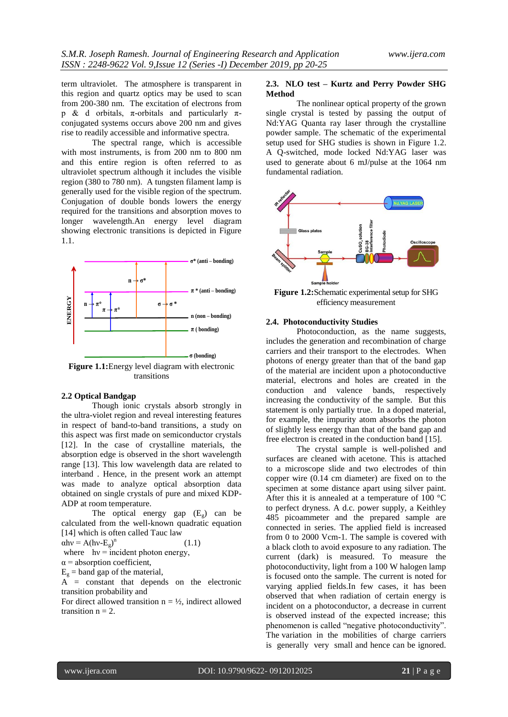term ultraviolet. The atmosphere is transparent in this region and quartz optics may be used to scan from 200-380 nm. The excitation of electrons from p & d orbitals,  $\pi$ -orbitals and particularly  $\pi$ conjugated systems occurs above 200 nm and gives rise to readily accessible and informative spectra.

The spectral range, which is accessible with most instruments, is from 200 nm to 800 nm and this entire region is often referred to as ultraviolet spectrum although it includes the visible region (380 to 780 nm). A tungsten filament lamp is generally used for the visible region of the spectrum. Conjugation of double bonds lowers the energy required for the transitions and absorption moves to longer wavelength.An energy level diagram showing electronic transitions is depicted in Figure 1.1.



**Figure 1.1:**Energy level diagram with electronic transitions

### **2.2 Optical Bandgap**

Though ionic crystals absorb strongly in the ultra-violet region and reveal interesting features in respect of band-to-band transitions, a study on this aspect was first made on semiconductor crystals [12]. In the case of crystalline materials, the absorption edge is observed in the short wavelength range [13]. This low wavelength data are related to interband . Hence, in the present work an attempt was made to analyze optical absorption data obtained on single crystals of pure and mixed KDP-ADP at room temperature.

The optical energy gap  $(E_{\varphi})$  can be calculated from the well-known quadratic equation [14] which is often called Tauc law

(1.1)

 $ahv = A(hv-E<sub>g</sub>)<sup>n</sup>$ 

where  $hv = incident photon energy$ ,

 $\alpha$  = absorption coefficient,

 $E<sub>g</sub>$  = band gap of the material,

A = constant that depends on the electronic transition probability and

For direct allowed transition  $n = \frac{1}{2}$ , indirect allowed transition  $n = 2$ .

#### **2.3. NLO test – Kurtz and Perry Powder SHG Method**

The nonlinear optical property of the grown single crystal is tested by passing the output of Nd:YAG Quanta ray laser through the crystalline powder sample. The schematic of the experimental setup used for SHG studies is shown in Figure 1.2. A Q-switched, mode locked Nd:YAG laser was used to generate about 6 mJ/pulse at the 1064 nm fundamental radiation.



**Figure 1.2:**Schematic experimental setup for SHG efficiency measurement

## **2.4. Photoconductivity Studies**

Photoconduction, as the name suggests, includes the generation and recombination of charge carriers and their transport to the electrodes. When photons of energy greater than that of the band gap of the material are incident upon a photoconductive material, electrons and holes are created in the conduction and valence bands, respectively increasing the conductivity of the sample. But this statement is only partially true. In a doped material, for example, the impurity atom absorbs the photon of slightly less energy than that of the band gap and free electron is created in the conduction band [15].

The crystal sample is well-polished and surfaces are cleaned with acetone. This is attached to a microscope slide and two electrodes of thin copper wire (0.14 cm diameter) are fixed on to the specimen at some distance apart using silver paint. After this it is annealed at a temperature of 100 °C to perfect dryness. A d.c. power supply, a Keithley 485 picoammeter and the prepared sample are connected in series. The applied field is increased from 0 to 2000 Vcm-1. The sample is covered with a black cloth to avoid exposure to any radiation. The current (dark) is measured. To measure the photoconductivity, light from a 100 W halogen lamp is focused onto the sample. The current is noted for varying applied fields.In few cases, it has been observed that when radiation of certain energy is incident on a photoconductor, a decrease in current is observed instead of the expected increase; this phenomenon is called "negative photoconductivity". The variation in the mobilities of charge carriers is generally very small and hence can be ignored.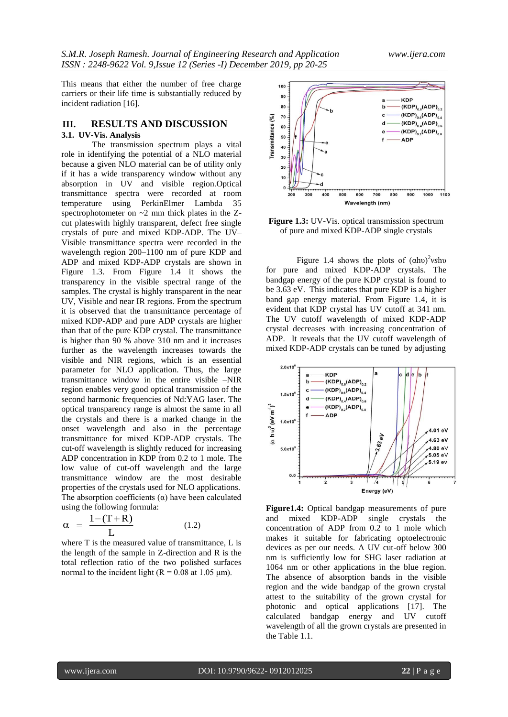This means that either the number of free charge carriers or their life time is substantially reduced by incident radiation [16].

## **III. RESULTS AND DISCUSSION 3.1. UV-Vis. Analysis**

The transmission spectrum plays a vital role in identifying the potential of a NLO material because a given NLO material can be of utility only if it has a wide transparency window without any absorption in UV and visible region.Optical transmittance spectra were recorded at room temperature using PerkinElmer Lambda 35 spectrophotometer on  $\sim$ 2 mm thick plates in the Zcut plateswith highly transparent, defect free single crystals of pure and mixed KDP-ADP. The UV– Visible transmittance spectra were recorded in the wavelength region 200–1100 nm of pure KDP and ADP and mixed KDP-ADP crystals are shown in Figure 1.3. From Figure 1.4 it shows the transparency in the visible spectral range of the samples. The crystal is highly transparent in the near UV, Visible and near IR regions. From the spectrum it is observed that the transmittance percentage of mixed KDP-ADP and pure ADP crystals are higher than that of the pure KDP crystal. The transmittance is higher than 90 % above 310 nm and it increases further as the wavelength increases towards the visible and NIR regions, which is an essential parameter for NLO application. Thus, the large transmittance window in the entire visible –NIR region enables very good optical transmission of the second harmonic frequencies of Nd:YAG laser. The optical transparency range is almost the same in all the crystals and there is a marked change in the onset wavelength and also in the percentage transmittance for mixed KDP-ADP crystals. The cut-off wavelength is slightly reduced for increasing ADP concentration in KDP from 0.2 to 1 mole. The low value of cut-off wavelength and the large transmittance window are the most desirable properties of the crystals used for NLO applications. The absorption coefficients  $(\alpha)$  have been calculated using the following formula:

$$
\alpha = \frac{1 - (T + R)}{L} \tag{1.2}
$$

where T is the measured value of transmittance, L is the length of the sample in Z-direction and R is the total reflection ratio of the two polished surfaces normal to the incident light ( $R = 0.08$  at 1.05  $\mu$ m).



**Figure 1.3:** UV-Vis. optical transmission spectrum of pure and mixed KDP-ADP single crystals

Figure 1.4 shows the plots of  $(\alpha h\nu)^2 v$ shu for pure and mixed KDP-ADP crystals. The bandgap energy of the pure KDP crystal is found to be 3.63 eV. This indicates that pure KDP is a higher band gap energy material. From Figure 1.4, it is evident that KDP crystal has UV cutoff at 341 nm. The UV cutoff wavelength of mixed KDP-ADP crystal decreases with increasing concentration of ADP. It reveals that the UV cutoff wavelength of mixed KDP-ADP crystals can be tuned by adjusting



**Figure1.4:** Optical bandgap measurements of pure and mixed KDP-ADP single crystals the concentration of ADP from 0.2 to 1 mole which makes it suitable for fabricating optoelectronic devices as per our needs. A UV cut-off below 300 nm is sufficiently low for SHG laser radiation at 1064 nm or other applications in the blue region. The absence of absorption bands in the visible region and the wide bandgap of the grown crystal attest to the suitability of the grown crystal for photonic and optical applications [17]. The calculated bandgap energy and UV cutoff wavelength of all the grown crystals are presented in the Table 1.1.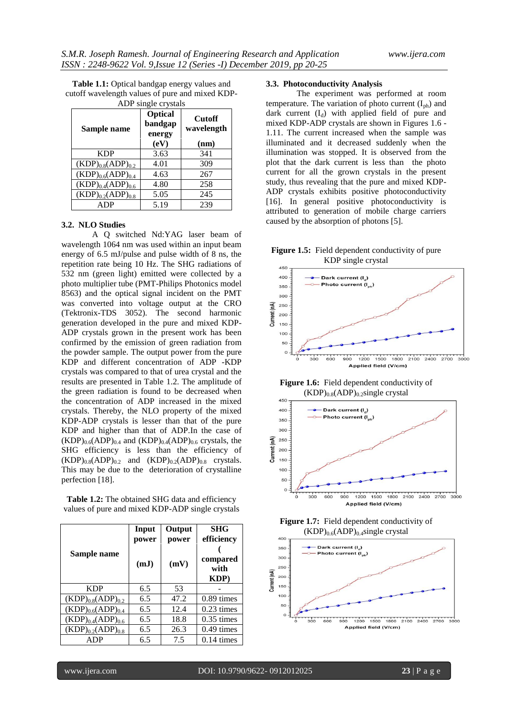| <b>Table 1.1:</b> Optical bandgap energy values and |
|-----------------------------------------------------|
| cutoff wavelength values of pure and mixed KDP-     |
| ADP single crystals                                 |

| Sample name              | <b>Optical</b><br>bandgap<br>energy | TELET SHIKIV VI YSIMIS<br><b>Cutoff</b><br>wavelength |  |
|--------------------------|-------------------------------------|-------------------------------------------------------|--|
|                          | (eV)                                | (nm)                                                  |  |
| <b>KDP</b>               | 3.63                                | 341                                                   |  |
| $(KDP)_{0.8}(ADP)_{0.2}$ | 4.01                                | 309                                                   |  |
| $(KDP)_{0.6}(ADP)_{0.4}$ | 4.63                                | 267                                                   |  |
| $(KDP)_{0.4}(ADP)_{0.6}$ | 4.80                                | 258                                                   |  |
| $(KDP)_{0.2}(ADP)_{0.8}$ | 5.05                                | 245                                                   |  |
| ADP                      | 5.19                                | 239                                                   |  |

#### **3.2. NLO Studies**

A Q switched Nd:YAG laser beam of wavelength 1064 nm was used within an input beam energy of 6.5 mJ/pulse and pulse width of 8 ns, the repetition rate being 10 Hz. The SHG radiations of 532 nm (green light) emitted were collected by a photo multiplier tube (PMT-Philips Photonics model 8563) and the optical signal incident on the PMT was converted into voltage output at the CRO (Tektronix-TDS 3052). The second harmonic generation developed in the pure and mixed KDP-ADP crystals grown in the present work has been confirmed by the emission of green radiation from the powder sample. The output power from the pure KDP and different concentration of ADP -KDP crystals was compared to that of urea crystal and the results are presented in Table 1.2. The amplitude of the green radiation is found to be decreased when the concentration of ADP increased in the mixed crystals. Thereby, the NLO property of the mixed KDP-ADP crystals is lesser than that of the pure KDP and higher than that of ADP.In the case of  $(KDP)_{0.6}(ADP)_{0.4}$  and  $(KDP)_{0.4}(ADP)_{0.6}$  crystals, the SHG efficiency is less than the efficiency of  $(KDP)_{0.8}(ADP)_{0.2}$  and  $(KDP)_{0.2}(ADP)_{0.8}$  crystals. This may be due to the deterioration of crystalline perfection [18].

| Table 1.2: The obtained SHG data and efficiency  |  |
|--------------------------------------------------|--|
| values of pure and mixed KDP-ADP single crystals |  |

|                          | Input<br>power | Output<br>power | <b>SHG</b><br>efficiency |
|--------------------------|----------------|-----------------|--------------------------|
| Sample name              | (mJ)           | (mV)            | compared<br>with<br>KDP) |
| <b>KDP</b>               | 6.5            | 53              |                          |
| $(KDP)_{0.8}(ADP)_{0.2}$ | 6.5            | 47.2            | $0.89 \times$            |
| $(KDP)_{0.6}(ADP)_{0.4}$ | 6.5            | 12.4            | $0.23 \text{ times}$     |
| $(KDP)_{0.4}(ADP)_{0.6}$ | 6.5            | 18.8            | $0.35 \text{ times}$     |
| $(KDP)_{0.2}(ADP)_{0.8}$ | 6.5            | 26.3            | $0.49 \times$            |
| ADP                      | 6.5            | 7.5             | $0.14 \times$            |

#### **3.3. Photoconductivity Analysis**

The experiment was performed at room temperature. The variation of photo current  $(I_{ph})$  and dark current  $(I_d)$  with applied field of pure and mixed KDP-ADP crystals are shown in Figures 1.6 - 1.11. The current increased when the sample was illuminated and it decreased suddenly when the illumination was stopped. It is observed from the plot that the dark current is less than the photo current for all the grown crystals in the present study, thus revealing that the pure and mixed KDP-ADP crystals exhibits positive photoconductivity [16]. In general positive photoconductivity is attributed to generation of mobile charge carriers caused by the absorption of photons [5].





**Figure 1.6:** Field dependent conductivity of  $(KDP)_{0.8}(ADP)_{0.2}$ single crystal





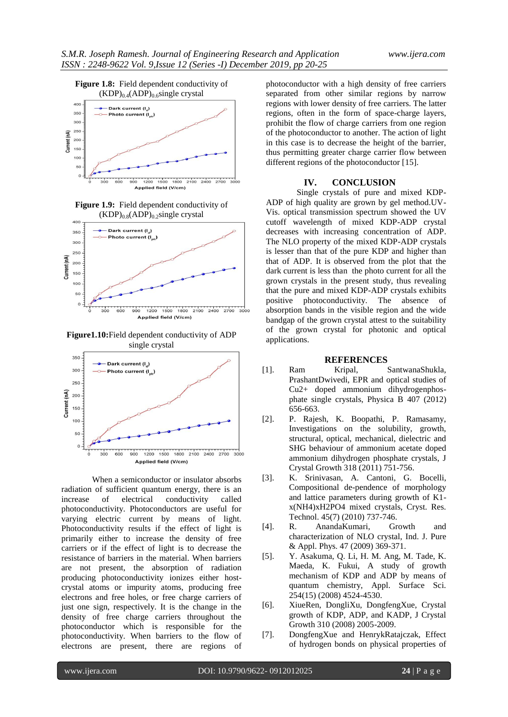

**Figure 1.9:** Field dependent conductivity of  $(KDP)_{0.8}(ADP)_{0.2}$ single crystal



**Figure1.10:**Field dependent conductivity of ADP single crystal



When a semiconductor or insulator absorbs radiation of sufficient quantum energy, there is an increase of electrical conductivity called photoconductivity. Photoconductors are useful for varying electric current by means of light. Photoconductivity results if the effect of light is primarily either to increase the density of free carriers or if the effect of light is to decrease the resistance of barriers in the material. When barriers are not present, the absorption of radiation producing photoconductivity ionizes either hostcrystal atoms or impurity atoms, producing free electrons and free holes, or free charge carriers of just one sign, respectively. It is the change in the density of free charge carriers throughout the photoconductor which is responsible for the photoconductivity. When barriers to the flow of electrons are present, there are regions of

photoconductor with a high density of free carriers separated from other similar regions by narrow regions with lower density of free carriers. The latter regions, often in the form of space-charge layers, prohibit the flow of charge carriers from one region of the photoconductor to another. The action of light in this case is to decrease the height of the barrier, thus permitting greater charge carrier flow between different regions of the photoconductor [15].

## **IV. CONCLUSION**

Single crystals of pure and mixed KDP-ADP of high quality are grown by gel method.UV-Vis. optical transmission spectrum showed the UV cutoff wavelength of mixed KDP-ADP crystal decreases with increasing concentration of ADP. The NLO property of the mixed KDP-ADP crystals is lesser than that of the pure KDP and higher than that of ADP. It is observed from the plot that the dark current is less than the photo current for all the grown crystals in the present study, thus revealing that the pure and mixed KDP-ADP crystals exhibits positive photoconductivity. The absence of absorption bands in the visible region and the wide bandgap of the grown crystal attest to the suitability of the grown crystal for photonic and optical applications.

#### **REFERENCES**

- [1]. Ram Kripal, SantwanaShukla, PrashantDwivedi, EPR and optical studies of Cu2+ doped ammonium dihydrogenphosphate single crystals, Physica B 407 (2012) 656-663.
- [2]. P. Rajesh, K. Boopathi, P. Ramasamy, Investigations on the solubility, growth, structural, optical, mechanical, dielectric and SHG behaviour of ammonium acetate doped ammonium dihydrogen phosphate crystals, J Crystal Growth 318 (2011) 751-756.
- [3]. K. Srinivasan, A. Cantoni, G. Bocelli, Compositional de-pendence of morphology and lattice parameters during growth of K1 x(NH4)xH2PO4 mixed crystals, Cryst. Res. Technol. 45(7) (2010) 737-746.
- [4]. R. AnandaKumari, Growth and characterization of NLO crystal, Ind. J. Pure & Appl. Phys. 47 (2009) 369-371.
- [5]. Y. Asakuma, Q. Li, H. M. Ang, M. Tade, K. Maeda, K. Fukui, A study of growth mechanism of KDP and ADP by means of quantum chemistry, Appl. Surface Sci. 254(15) (2008) 4524-4530.
- [6]. XiueRen, DongliXu, DongfengXue, Crystal growth of KDP, ADP, and KADP, J Crystal Growth 310 (2008) 2005-2009.
- [7]. DongfengXue and HenrykRatajczak, Effect of hydrogen bonds on physical properties of